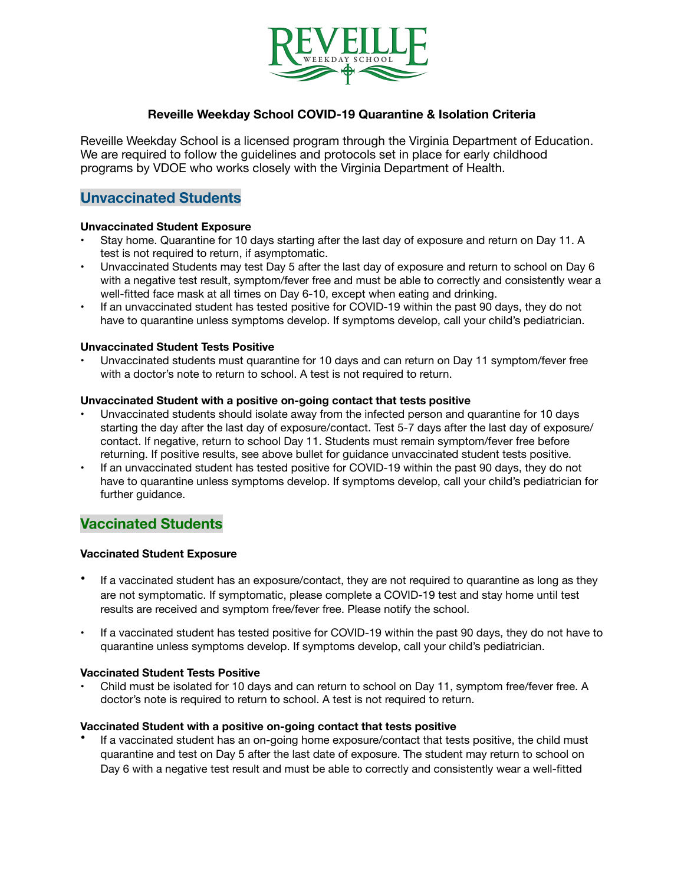

### **Reveille Weekday School COVID-19 Quarantine & Isolation Criteria**

Reveille Weekday School is a licensed program through the Virginia Department of Education. We are required to follow the guidelines and protocols set in place for early childhood programs by VDOE who works closely with the Virginia Department of Health.

# **Unvaccinated Students**

### **Unvaccinated Student Exposure**

- Stay home. Quarantine for 10 days starting after the last day of exposure and return on Day 11. A test is not required to return, if asymptomatic.
- Unvaccinated Students may test Day 5 after the last day of exposure and return to school on Day 6 with a negative test result, symptom/fever free and must be able to correctly and consistently wear a well-fitted face mask at all times on Day 6-10, except when eating and drinking.
- If an unvaccinated student has tested positive for COVID-19 within the past 90 days, they do not have to quarantine unless symptoms develop. If symptoms develop, call your child's pediatrician.

### **Unvaccinated Student Tests Positive**

• Unvaccinated students must quarantine for 10 days and can return on Day 11 symptom/fever free with a doctor's note to return to school. A test is not required to return.

### **Unvaccinated Student with a positive on-going contact that tests positive**

- Unvaccinated students should isolate away from the infected person and quarantine for 10 days starting the day after the last day of exposure/contact. Test 5-7 days after the last day of exposure/ contact. If negative, return to school Day 11. Students must remain symptom/fever free before returning. If positive results, see above bullet for guidance unvaccinated student tests positive.
- If an unvaccinated student has tested positive for COVID-19 within the past 90 days, they do not have to quarantine unless symptoms develop. If symptoms develop, call your child's pediatrician for further guidance.

# **Vaccinated Students**

### **Vaccinated Student Exposure**

- If a vaccinated student has an exposure/contact, they are not required to quarantine as long as they are not symptomatic. If symptomatic, please complete a COVID-19 test and stay home until test results are received and symptom free/fever free. Please notify the school.
- If a vaccinated student has tested positive for COVID-19 within the past 90 days, they do not have to quarantine unless symptoms develop. If symptoms develop, call your child's pediatrician.

### **Vaccinated Student Tests Positive**

• Child must be isolated for 10 days and can return to school on Day 11, symptom free/fever free. A doctor's note is required to return to school. A test is not required to return.

### **Vaccinated Student with a positive on-going contact that tests positive**

• If a vaccinated student has an on-going home exposure/contact that tests positive, the child must quarantine and test on Day 5 after the last date of exposure. The student may return to school on Day 6 with a negative test result and must be able to correctly and consistently wear a well-fitted